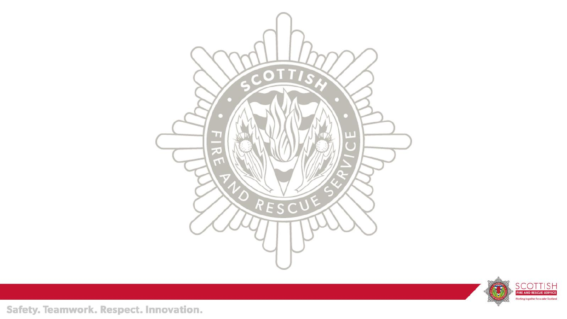

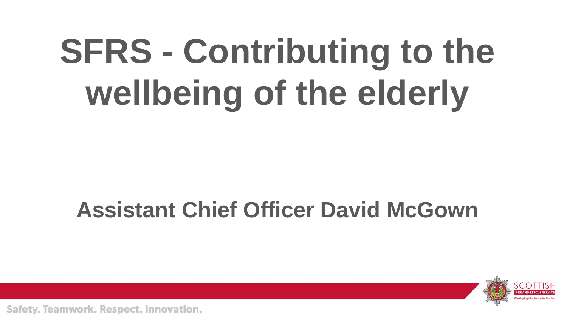# **SFRS - Contributing to the wellbeing of the elderly**

### **Assistant Chief Officer David McGown**

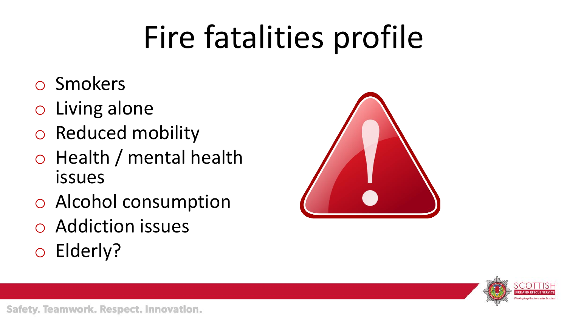## Fire fatalities profile

- o Smokers
- o Living alone
- o Reduced mobility
- o Health / mental health issues
- o Alcohol consumption
- o Addiction issues
- o Elderly?



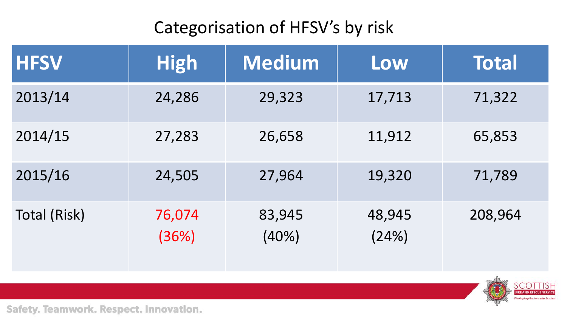#### Categorisation of HFSV's by risk

| <b>HFSV</b>         | <b>High</b>     | <b>Medium</b>   | Low             | Total   |
|---------------------|-----------------|-----------------|-----------------|---------|
| 2013/14             | 24,286          | 29,323          | 17,713          | 71,322  |
| 2014/15             | 27,283          | 26,658          | 11,912          | 65,853  |
| 2015/16             | 24,505          | 27,964          | 19,320          | 71,789  |
| <b>Total (Risk)</b> | 76,074<br>(36%) | 83,945<br>(40%) | 48,945<br>(24%) | 208,964 |

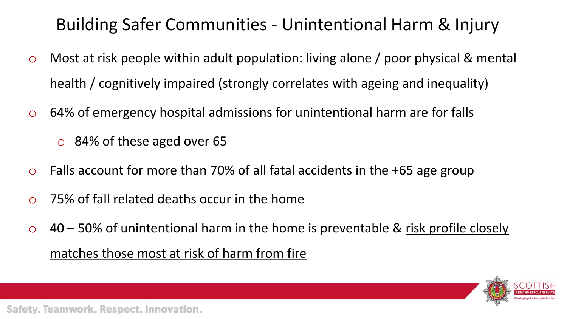#### Building Safer Communities - Unintentional Harm & Injury

- o Most at risk people within adult population: living alone / poor physical & mental health / cognitively impaired (strongly correlates with ageing and inequality)
- o 64% of emergency hospital admissions for unintentional harm are for falls
	- o 84% of these aged over 65
- $\circ$  Falls account for more than 70% of all fatal accidents in the +65 age group
- o 75% of fall related deaths occur in the home
- $\circ$  40 50% of unintentional harm in the home is preventable & risk profile closely matches those most at risk of harm from fire

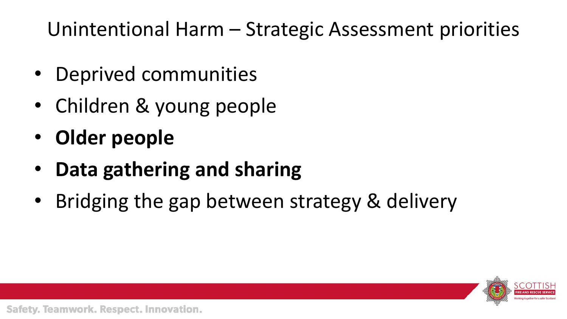#### Unintentional Harm – Strategic Assessment priorities

- Deprived communities
- Children & young people
- **Older people**
- **Data gathering and sharing**
- Bridging the gap between strategy & delivery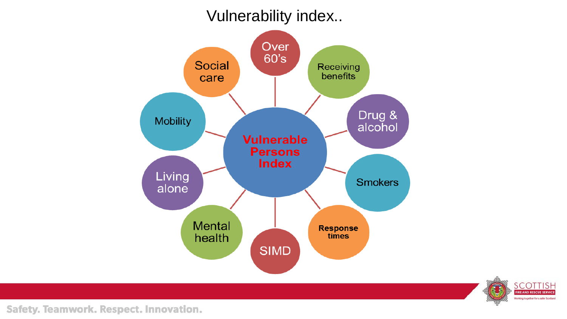#### Vulnerability index..



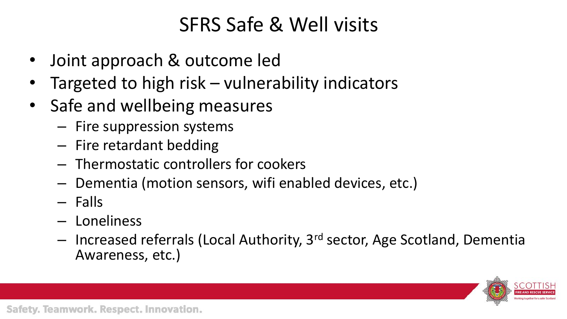#### SFRS Safe & Well visits

- Joint approach & outcome led
- Targeted to high risk vulnerability indicators
- Safe and wellbeing measures
	- Fire suppression systems
	- Fire retardant bedding
	- Thermostatic controllers for cookers
	- Dementia (motion sensors, wifi enabled devices, etc.)
	- Falls
	- Loneliness
	- Increased referrals (Local Authority, 3rd sector, Age Scotland, Dementia Awareness, etc.)